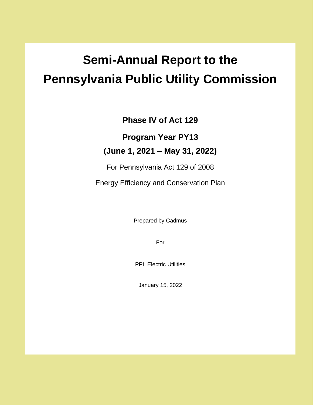# **Semi-Annual Report to the Pennsylvania Public Utility Commission**

**Phase IV of Act 129**

**Program Year PY13** 

### **(June 1, 2021 – May 31, 2022)**

For Pennsylvania Act 129 of 2008

Energy Efficiency and Conservation Plan

Prepared by Cadmus

For

PPL Electric Utilities

January 15, 2022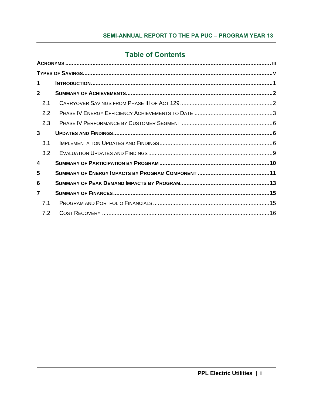### **Table of Contents**

| $\mathbf 1$             |  |
|-------------------------|--|
| $\mathbf{2}$            |  |
| 2.1                     |  |
| 2.2                     |  |
| 2.3                     |  |
| 3                       |  |
| 3.1                     |  |
| 3.2                     |  |
| $\overline{\mathbf{4}}$ |  |
| 5                       |  |
| 6                       |  |
| 7                       |  |
| 7.1                     |  |
| 7.2                     |  |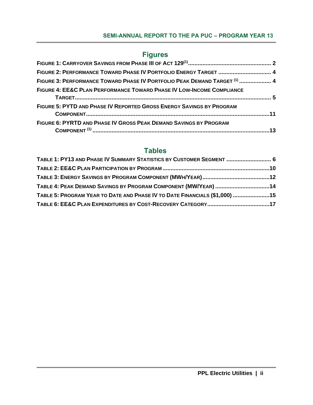#### **Figures**

| FIGURE 2: PERFORMANCE TOWARD PHASE IV PORTFOLIO ENERGY TARGET  4          |  |
|---------------------------------------------------------------------------|--|
| FIGURE 3: PERFORMANCE TOWARD PHASE IV PORTFOLIO PEAK DEMAND TARGET (1)  4 |  |
| FIGURE 4: EE&C PLAN PERFORMANCE TOWARD PHASE IV LOW-INCOME COMPLIANCE     |  |
| FIGURE 5: PYTD AND PHASE IV REPORTED GROSS ENERGY SAVINGS BY PROGRAM      |  |
| FIGURE 6: PYRTD AND PHASE IV GROSS PEAK DEMAND SAVINGS BY PROGRAM         |  |

### **Tables**

| TABLE 1: PY13 AND PHASE IV SUMMARY STATISTICS BY CUSTOMER SEGMENT  6       |  |
|----------------------------------------------------------------------------|--|
|                                                                            |  |
|                                                                            |  |
| TABLE 4: PEAK DEMAND SAVINGS BY PROGRAM COMPONENT (MW/YEAR) 14             |  |
| TABLE 5: PROGRAM YEAR TO DATE AND PHASE IV TO DATE FINANCIALS (\$1,000) 15 |  |
|                                                                            |  |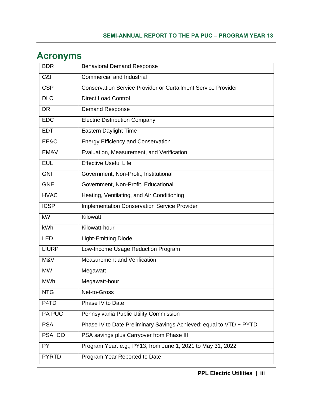| <b>BDR</b>   | <b>Behavioral Demand Response</b>                                    |
|--------------|----------------------------------------------------------------------|
| C&I          | <b>Commercial and Industrial</b>                                     |
| <b>CSP</b>   | <b>Conservation Service Provider or Curtailment Service Provider</b> |
| <b>DLC</b>   | <b>Direct Load Control</b>                                           |
| <b>DR</b>    | <b>Demand Response</b>                                               |
| <b>EDC</b>   | <b>Electric Distribution Company</b>                                 |
| <b>EDT</b>   | <b>Eastern Daylight Time</b>                                         |
| EE&C         | <b>Energy Efficiency and Conservation</b>                            |
| EM&V         | Evaluation, Measurement, and Verification                            |
| <b>EUL</b>   | <b>Effective Useful Life</b>                                         |
| <b>GNI</b>   | Government, Non-Profit, Institutional                                |
| <b>GNE</b>   | Government, Non-Profit, Educational                                  |
| <b>HVAC</b>  | Heating, Ventilating, and Air Conditioning                           |
| <b>ICSP</b>  | <b>Implementation Conservation Service Provider</b>                  |
| kW           | Kilowatt                                                             |
| <b>kWh</b>   | Kilowatt-hour                                                        |
| <b>LED</b>   | <b>Light-Emitting Diode</b>                                          |
| <b>LIURP</b> | Low-Income Usage Reduction Program                                   |
| M&V          | <b>Measurement and Verification</b>                                  |
| <b>MW</b>    | Megawatt                                                             |
| <b>MWh</b>   | Megawatt-hour                                                        |
| <b>NTG</b>   | Net-to-Gross                                                         |
| P4TD         | Phase IV to Date                                                     |
| PA PUC       | Pennsylvania Public Utility Commission                               |
| <b>PSA</b>   | Phase IV to Date Preliminary Savings Achieved; equal to VTD + PYTD   |
| PSA+CO       | PSA savings plus Carryover from Phase III                            |
| PY           | Program Year: e.g., PY13, from June 1, 2021 to May 31, 2022          |
| <b>PYRTD</b> | Program Year Reported to Date                                        |

### <span id="page-3-0"></span>**Acronyms**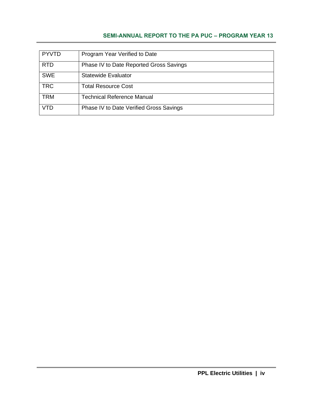| <b>PYVTD</b> | Program Year Verified to Date           |
|--------------|-----------------------------------------|
| <b>RTD</b>   | Phase IV to Date Reported Gross Savings |
| <b>SWE</b>   | <b>Statewide Evaluator</b>              |
| <b>TRC</b>   | <b>Total Resource Cost</b>              |
| <b>TRM</b>   | <b>Technical Reference Manual</b>       |
| VTD          | Phase IV to Date Verified Gross Savings |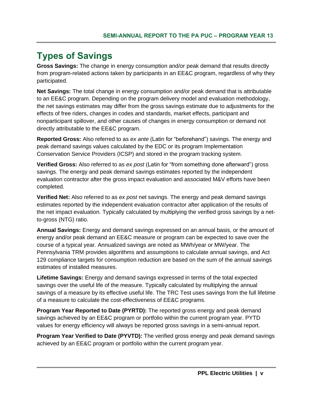# <span id="page-5-0"></span>**Types of Savings**

**Gross Savings:** The change in energy consumption and/or peak demand that results directly from program-related actions taken by participants in an EE&C program, regardless of why they participated.

**Net Savings:** The total change in energy consumption and/or peak demand that is attributable to an EE&C program. Depending on the program delivery model and evaluation methodology, the net savings estimates may differ from the gross savings estimate due to adjustments for the effects of free riders, changes in codes and standards, market effects, participant and nonparticipant spillover, and other causes of changes in energy consumption or demand not directly attributable to the EE&C program.

**Reported Gross:** Also referred to as *ex ante* (Latin for "beforehand") savings. The energy and peak demand savings values calculated by the EDC or its program Implementation Conservation Service Providers (ICSP) and stored in the program tracking system.

**Verified Gross:** Also referred to as *ex post* (Latin for "from something done afterward") gross savings. The energy and peak demand savings estimates reported by the independent evaluation contractor after the gross impact evaluation and associated M&V efforts have been completed.

**Verified Net:** Also referred to as *ex post* net savings. The energy and peak demand savings estimates reported by the independent evaluation contractor after application of the results of the net impact evaluation. Typically calculated by multiplying the verified gross savings by a netto-gross (NTG) ratio.

**Annual Savings:** Energy and demand savings expressed on an annual basis, or the amount of energy and/or peak demand an EE&C measure or program can be expected to save over the course of a typical year. Annualized savings are noted as MWh/year or MW/year. The Pennsylvania TRM provides algorithms and assumptions to calculate annual savings, and Act 129 compliance targets for consumption reduction are based on the sum of the annual savings estimates of installed measures.

**Lifetime Savings:** Energy and demand savings expressed in terms of the total expected savings over the useful life of the measure. Typically calculated by multiplying the annual savings of a measure by its effective useful life. The TRC Test uses savings from the full lifetime of a measure to calculate the cost-effectiveness of EE&C programs.

**Program Year Reported to Date (PYRTD):** The reported gross energy and peak demand savings achieved by an EE&C program or portfolio within the current program year. PYTD values for energy efficiency will always be reported gross savings in a semi-annual report.

**Program Year Verified to Date (PYVTD):** The verified gross energy and peak demand savings achieved by an EE&C program or portfolio within the current program year.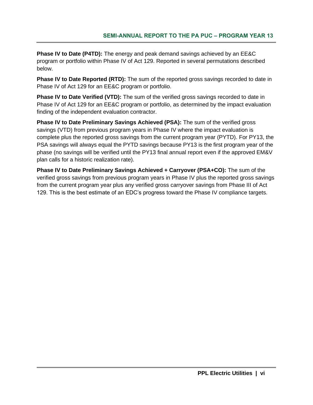**Phase IV to Date (P4TD):** The energy and peak demand savings achieved by an EE&C program or portfolio within Phase IV of Act 129. Reported in several permutations described below.

**Phase IV to Date Reported (RTD):** The sum of the reported gross savings recorded to date in Phase IV of Act 129 for an EE&C program or portfolio.

**Phase IV to Date Verified (VTD):** The sum of the verified gross savings recorded to date in Phase IV of Act 129 for an EE&C program or portfolio, as determined by the impact evaluation finding of the independent evaluation contractor.

**Phase IV to Date Preliminary Savings Achieved (PSA):** The sum of the verified gross savings (VTD) from previous program years in Phase IV where the impact evaluation is complete plus the reported gross savings from the current program year (PYTD). For PY13, the PSA savings will always equal the PYTD savings because PY13 is the first program year of the phase (no savings will be verified until the PY13 final annual report even if the approved EM&V plan calls for a historic realization rate).

**Phase IV to Date Preliminary Savings Achieved + Carryover (PSA+CO):** The sum of the verified gross savings from previous program years in Phase IV plus the reported gross savings from the current program year plus any verified gross carryover savings from Phase III of Act 129. This is the best estimate of an EDC's progress toward the Phase IV compliance targets.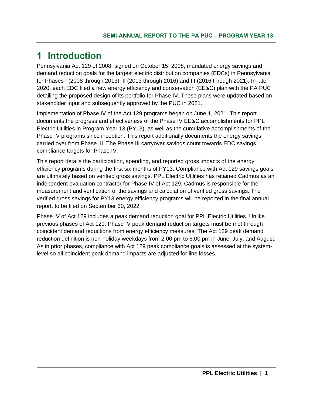### <span id="page-7-0"></span>**1 Introduction**

Pennsylvania Act 129 of 2008, signed on October 15, 2008, mandated energy savings and demand reduction goals for the largest electric distribution companies (EDCs) in Pennsylvania for Phases I (2008 through 2013), II (2013 through 2016) and III (2016 through 2021). In late 2020, each EDC filed a new energy efficiency and conservation (EE&C) plan with the PA PUC detailing the proposed design of its portfolio for Phase IV. These plans were updated based on stakeholder input and subsequently approved by the PUC in 2021.

Implementation of Phase IV of the Act 129 programs began on June 1, 2021. This report documents the progress and effectiveness of the Phase IV EE&C accomplishments for PPL Electric Utilities in Program Year 13 (PY13), as well as the cumulative accomplishments of the Phase IV programs since inception. This report additionally documents the energy savings carried over from Phase III. The Phase III carryover savings count towards EDC savings compliance targets for Phase IV.

This report details the participation, spending, and reported gross impacts of the energy efficiency programs during the first six months of PY13. Compliance with Act 129 savings goals are ultimately based on verified gross savings. PPL Electric Utilities has retained Cadmus as an independent evaluation contractor for Phase IV of Act 129. Cadmus is responsible for the measurement and verification of the savings and calculation of verified gross savings. The verified gross savings for PY13 energy efficiency programs will be reported in the final annual report, to be filed on September 30, 2022.

Phase IV of Act 129 includes a peak demand reduction goal for PPL Electric Utilities. Unlike previous phases of Act 129, Phase IV peak demand reduction targets must be met through coincident demand reductions from energy efficiency measures. The Act 129 peak demand reduction definition is non-holiday weekdays from 2:00 pm to 6:00 pm in June, July, and August. As in prior phases, compliance with Act 129 peak compliance goals is assessed at the systemlevel so all coincident peak demand impacts are adjusted for line losses.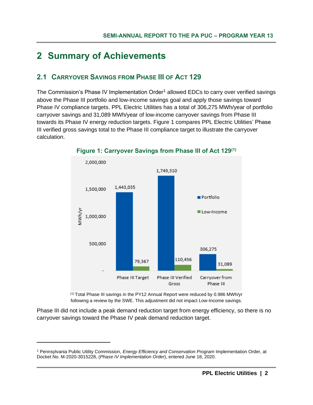# <span id="page-8-0"></span>**2 Summary of Achievements**

#### <span id="page-8-1"></span>**2.1 CARRYOVER SAVINGS FROM PHASE III OF ACT 129**

The Commission's Phase IV Implementation Order<sup>1</sup> allowed EDCs to carry over verified savings above the Phase III portfolio and low-income savings goal and apply those savings toward Phase IV compliance targets. PPL Electric Utilities has a total of 306,275 MWh/year of portfolio carryover savings and 31,089 MWh/year of low-income carryover savings from Phase III towards its Phase IV energy reduction targets. [Figure 1](#page-8-2) compares PPL Electric Utilities' Phase III verified gross savings total to the Phase III compliance target to illustrate the carryover calculation.

<span id="page-8-2"></span>

#### **Figure 1: Carryover Savings from Phase III of Act 129(1)**

(1) Total Phase III savings in the PY12 Annual Report were reduced by 0.986 MWh/yr following a review by the SWE. This adjustment did not impact Low-Income savings.

Phase III did not include a peak demand reduction target from energy efficiency, so there is no carryover savings toward the Phase IV peak demand reduction target.

<sup>1</sup> Pennsylvania Public Utility Commission, *Energy Efficiency and Conservation Program* Implementation Order, at Docket No. M-2020-3015228, (*Phase IV Implementation Order*), entered June 18, 2020.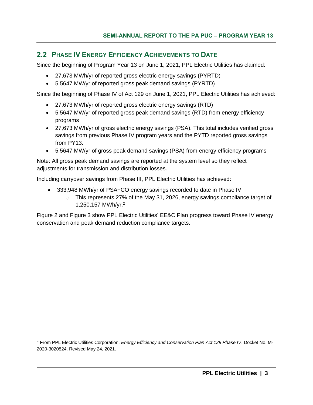#### <span id="page-9-0"></span>**2.2 PHASE IV ENERGY EFFICIENCY ACHIEVEMENTS TO DATE**

Since the beginning of Program Year 13 on June 1, 2021, PPL Electric Utilities has claimed:

- 27,673 MWh/yr of reported gross electric energy savings (PYRTD)
- 5.5647 MW/yr of reported gross peak demand savings (PYRTD)

Since the beginning of Phase IV of Act 129 on June 1, 2021, PPL Electric Utilities has achieved:

- 27,673 MWh/yr of reported gross electric energy savings (RTD)
- 5.5647 MW/yr of reported gross peak demand savings (RTD) from energy efficiency programs
- 27,673 MWh/yr of gross electric energy savings (PSA). This total includes verified gross savings from previous Phase IV program years and the PYTD reported gross savings from PY13.
- 5.5647 MW/yr of gross peak demand savings (PSA) from energy efficiency programs

Note: All gross peak demand savings are reported at the system level so they reflect adjustments for transmission and distribution losses.

Including carryover savings from Phase III, PPL Electric Utilities has achieved:

- 333,948 MWh/yr of PSA+CO energy savings recorded to date in Phase IV
	- $\circ$  This represents 27% of the May 31, 2026, energy savings compliance target of 1,250,157 MWh/yr. 2

[Figure 2](#page-10-0) and [Figure 3](#page-10-1) show PPL Electric Utilities' EE&C Plan progress toward Phase IV energy conservation and peak demand reduction compliance targets.

<sup>2</sup> From PPL Electric Utilities Corporation. *Energy Efficiency and Conservation Plan Act 129 Phase IV*. Docket No. M-2020-3020824. Revised May 24, 2021.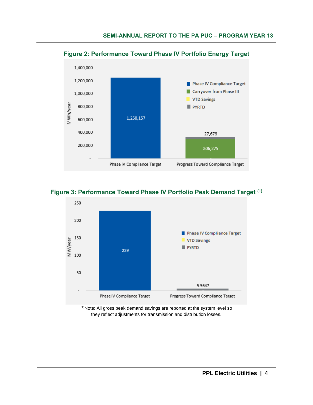

<span id="page-10-0"></span>**Figure 2: Performance Toward Phase IV Portfolio Energy Target**

#### <span id="page-10-1"></span>**Figure 3: Performance Toward Phase IV Portfolio Peak Demand Target (1)**



(1)Note: All gross peak demand savings are reported at the system level so they reflect adjustments for transmission and distribution losses.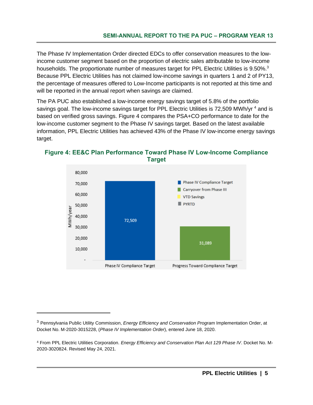The Phase IV Implementation Order directed EDCs to offer conservation measures to the lowincome customer segment based on the proportion of electric sales attributable to low-income households. The proportionate number of measures target for PPL Electric Utilities is 9.50%.<sup>3</sup> Because PPL Electric Utilities has not claimed low-income savings in quarters 1 and 2 of PY13, the percentage of measures offered to Low-Income participants is not reported at this time and will be reported in the annual report when savings are claimed.

The PA PUC also established a low-income energy savings target of 5.8% of the portfolio savings goal. The low-income savings target for PPL Electric Utilities is 72,509 MWh/yr<sup>4</sup> and is based on verified gross savings. [Figure 4](#page-11-0) compares the PSA+CO performance to date for the low-income customer segment to the Phase IV savings target. Based on the latest available information, PPL Electric Utilities has achieved 43% of the Phase IV low-income energy savings target.

<span id="page-11-0"></span>**Figure 4: EE&C Plan Performance Toward Phase IV Low-Income Compliance Target** 80,000



<span id="page-11-1"></span><sup>3</sup> Pennsylvania Public Utility Commission, *Energy Efficiency and Conservation Program* Implementation Order, at Docket No. M-2020-3015228, (*Phase IV Implementation Order*), entered June 18, 2020.

<sup>4</sup> From PPL Electric Utilities Corporation. *Energy Efficiency and Conservation Plan Act 129 Phase IV*. Docket No. M-2020-3020824. Revised May 24, 2021.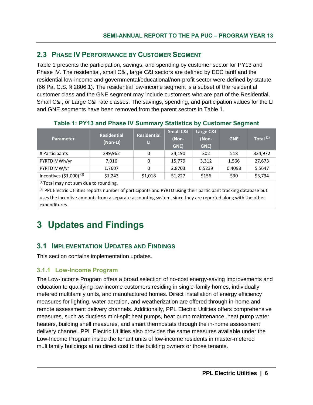#### <span id="page-12-0"></span>**2.3 PHASE IV PERFORMANCE BY CUSTOMER SEGMENT**

[Table 1](#page-12-3) presents the participation, savings, and spending by customer sector for PY13 and Phase IV. The residential, small C&I, large C&I sectors are defined by EDC tariff and the residential low-income and governmental/educational/non-profit sector were defined by statute (66 Pa. C.S. § 2806.1). The residential low-income segment is a subset of the residential customer class and the GNE segment may include customers who are part of the Residential, Small C&I, or Large C&I rate classes. The savings, spending, and participation values for the LI and GNE segments have been removed from the parent sectors in [Table 1.](#page-12-3)

<span id="page-12-3"></span>

| <b>Parameter</b>                                                                                        | <b>Residential</b><br>(Non-LI) | <b>Residential</b><br>Ш | <b>Small C&amp;I</b><br>(Non-<br>GNE) | Large C&I<br>(Non-<br>GNE) | <b>GNE</b> | Total <sup>(1)</sup> |  |  |
|---------------------------------------------------------------------------------------------------------|--------------------------------|-------------------------|---------------------------------------|----------------------------|------------|----------------------|--|--|
| # Participants                                                                                          | 299,962                        | 0                       | 24,190                                | 302                        | 518        | 324,972              |  |  |
| PYRTD MWh/yr                                                                                            | 7,016                          | 0                       | 15.779                                | 3,312                      | 1,566      | 27,673               |  |  |
| PYRTD MW/yr                                                                                             | 1.7607                         | 0                       | 2.8703                                | 0.5239                     | 0.4098     | 5.5647               |  |  |
| Incentives $(51,000)^{(2)}$                                                                             | \$1,243                        | \$1,018                 | \$1,227                               | \$156                      | \$90       | \$3,734              |  |  |
| $(1)$ $\rightarrow$ $\rightarrow$ $\rightarrow$ $\rightarrow$ $\rightarrow$ $\rightarrow$ $\rightarrow$ |                                |                         |                                       |                            |            |                      |  |  |

#### **Table 1: PY13 and Phase IV Summary Statistics by Customer Segment**

 $<sup>(1)</sup>Total$  may not sum due to rounding.</sup>

 $^{(2)}$  PPL Electric Utilities reports number of participants and PYRTD using their participant tracking database but uses the incentive amounts from a separate accounting system, since they are reported along with the other expenditures.

# <span id="page-12-1"></span>**3 Updates and Findings**

#### <span id="page-12-2"></span>**3.1 IMPLEMENTATION UPDATES AND FINDINGS**

This section contains implementation updates.

#### **3.1.1 Low-Income Program**

The Low-Income Program offers a broad selection of no-cost energy-saving improvements and education to qualifying low-income customers residing in single-family homes, individually metered multifamily units, and manufactured homes. Direct installation of energy efficiency measures for lighting, water aeration, and weatherization are offered through in-home and remote assessment delivery channels. Additionally, PPL Electric Utilities offers comprehensive measures, such as ductless mini-split heat pumps, heat pump maintenance, heat pump water heaters, building shell measures, and smart thermostats through the in-home assessment delivery channel. PPL Electric Utilities also provides the same measures available under the Low-Income Program inside the tenant units of low-income residents in master-metered multifamily buildings at no direct cost to the building owners or those tenants.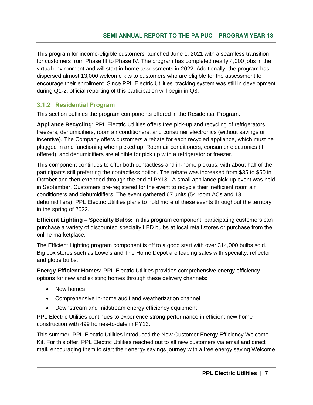This program for income-eligible customers launched June 1, 2021 with a seamless transition for customers from Phase III to Phase IV. The program has completed nearly 4,000 jobs in the virtual environment and will start in-home assessments in 2022. Additionally, the program has dispersed almost 13,000 welcome kits to customers who are eligible for the assessment to encourage their enrollment. Since PPL Electric Utilities' tracking system was still in development during Q1-2, official reporting of this participation will begin in Q3.

#### **3.1.2 Residential Program**

This section outlines the program components offered in the Residential Program.

**Appliance Recycling:** PPL Electric Utilities offers free pick-up and recycling of refrigerators, freezers, dehumidifiers, room air conditioners, and consumer electronics (without savings or incentive). The Company offers customers a rebate for each recycled appliance, which must be plugged in and functioning when picked up. Room air conditioners, consumer electronics (if offered), and dehumidifiers are eligible for pick up with a refrigerator or freezer.

This component continues to offer both contactless and in-home pickups, with about half of the participants still preferring the contactless option. The rebate was increased from \$35 to \$50 in October and then extended through the end of PY13. A small appliance pick-up event was held in September. Customers pre-registered for the event to recycle their inefficient room air conditioners and dehumidifiers. The event gathered 67 units (54 room ACs and 13 dehumidifiers). PPL Electric Utilities plans to hold more of these events throughout the territory in the spring of 2022.

**Efficient Lighting – Specialty Bulbs:** In this program component, participating customers can purchase a variety of discounted specialty LED bulbs at local retail stores or purchase from the online marketplace.

The Efficient Lighting program component is off to a good start with over 314,000 bulbs sold. Big box stores such as Lowe's and The Home Depot are leading sales with specialty, reflector, and globe bulbs.

**Energy Efficient Homes:** PPL Electric Utilities provides comprehensive energy efficiency options for new and existing homes through these delivery channels:

- New homes
- Comprehensive in-home audit and weatherization channel
- Downstream and midstream energy efficiency equipment

PPL Electric Utilities continues to experience strong performance in efficient new home construction with 499 homes-to-date in PY13.

This summer, PPL Electric Utilities introduced the New Customer Energy Efficiency Welcome Kit. For this offer, PPL Electric Utilities reached out to all new customers via email and direct mail, encouraging them to start their energy savings journey with a free energy saving Welcome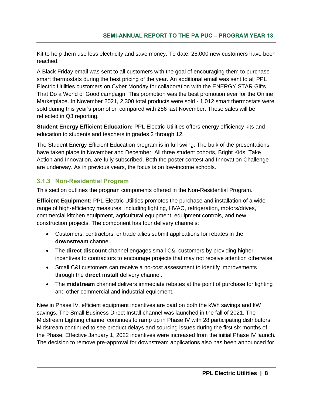Kit to help them use less electricity and save money. To date, 25,000 new customers have been reached.

A Black Friday email was sent to all customers with the goal of encouraging them to purchase smart thermostats during the best pricing of the year. An additional email was sent to all PPL Electric Utilities customers on Cyber Monday for collaboration with the ENERGY STAR Gifts That Do a World of Good campaign. This promotion was the best promotion ever for the Online Marketplace. In November 2021, 2,300 total products were sold - 1,012 smart thermostats were sold during this year's promotion compared with 286 last November. These sales will be reflected in Q3 reporting.

**Student Energy Efficient Education:** PPL Electric Utilities offers energy efficiency kits and education to students and teachers in grades 2 through 12.

The Student Energy Efficient Education program is in full swing. The bulk of the presentations have taken place in November and December. All three student cohorts, Bright Kids, Take Action and Innovation, are fully subscribed. Both the poster contest and Innovation Challenge are underway. As in previous years, the focus is on low-income schools.

#### **3.1.3 Non-Residential Program**

This section outlines the program components offered in the Non-Residential Program.

**Efficient Equipment:** PPL Electric Utilities promotes the purchase and installation of a wide range of high-efficiency measures, including lighting, HVAC, refrigeration, motors/drives, commercial kitchen equipment, agricultural equipment, equipment controls, and new construction projects. The component has four delivery channels:

- Customers, contractors, or trade allies submit applications for rebates in the **downstream** channel.
- The **direct discount** channel engages small C&I customers by providing higher incentives to contractors to encourage projects that may not receive attention otherwise.
- Small C&I customers can receive a no-cost assessment to identify improvements through the **direct install** delivery channel.
- The **midstream** channel delivers immediate rebates at the point of purchase for lighting and other commercial and industrial equipment.

New in Phase IV, efficient equipment incentives are paid on both the kWh savings and kW savings. The Small Business Direct Install channel was launched in the fall of 2021. The Midstream Lighting channel continues to ramp up in Phase IV with 28 participating distributors. Midstream continued to see product delays and sourcing issues during the first six months of the Phase. Effective January 1, 2022 incentives were increased from the initial Phase IV launch. The decision to remove pre-approval for downstream applications also has been announced for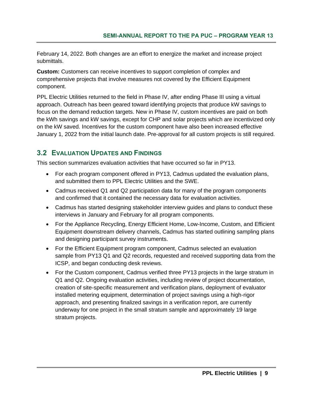February 14, 2022. Both changes are an effort to energize the market and increase project submittals.

**Custom:** Customers can receive incentives to support completion of complex and comprehensive projects that involve measures not covered by the Efficient Equipment component.

PPL Electric Utilities returned to the field in Phase IV, after ending Phase III using a virtual approach. Outreach has been geared toward identifying projects that produce kW savings to focus on the demand reduction targets. New in Phase IV, custom incentives are paid on both the kWh savings and kW savings, except for CHP and solar projects which are incentivized only on the kW saved. Incentives for the custom component have also been increased effective January 1, 2022 from the initial launch date. Pre-approval for all custom projects is still required.

#### <span id="page-15-0"></span>**3.2 EVALUATION UPDATES AND FINDINGS**

This section summarizes evaluation activities that have occurred so far in PY13.

- For each program component offered in PY13, Cadmus updated the evaluation plans, and submitted them to PPL Electric Utilities and the SWE.
- Cadmus received Q1 and Q2 participation data for many of the program components and confirmed that it contained the necessary data for evaluation activities.
- Cadmus has started designing stakeholder interview guides and plans to conduct these interviews in January and February for all program components.
- For the Appliance Recycling, Energy Efficient Home, Low-Income, Custom, and Efficient Equipment downstream delivery channels, Cadmus has started outlining sampling plans and designing participant survey instruments.
- For the Efficient Equipment program component, Cadmus selected an evaluation sample from PY13 Q1 and Q2 records, requested and received supporting data from the ICSP, and began conducting desk reviews.
- For the Custom component, Cadmus verified three PY13 projects in the large stratum in Q1 and Q2. Ongoing evaluation activities, including review of project documentation, creation of site-specific measurement and verification plans, deployment of evaluator installed metering equipment, determination of project savings using a high-rigor approach, and presenting finalized savings in a verification report, are currently underway for one project in the small stratum sample and approximately 19 large stratum projects.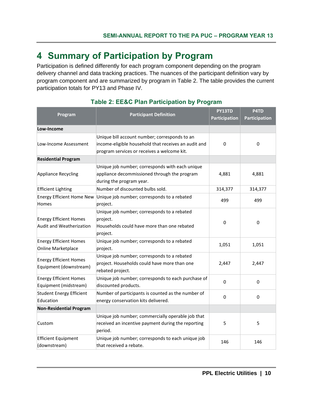### <span id="page-16-0"></span>**4 Summary of Participation by Program**

Participation is defined differently for each program component depending on the program delivery channel and data tracking practices. The nuances of the participant definition vary by program component and are summarized by program in [Table 2.](#page-16-1) The table provides the current participation totals for PY13 and Phase IV.

<span id="page-16-1"></span>

| Program                                                   | <b>Participant Definition</b>                                                                                                                        | PY13TD<br>Participation | P4TD<br>Participation |
|-----------------------------------------------------------|------------------------------------------------------------------------------------------------------------------------------------------------------|-------------------------|-----------------------|
| Low-Income                                                |                                                                                                                                                      |                         |                       |
| Low-Income Assessment                                     | Unique bill account number; corresponds to an<br>income-eligible household that receives an audit and<br>program services or receives a welcome kit. | 0                       | 0                     |
| <b>Residential Program</b>                                |                                                                                                                                                      |                         |                       |
| Appliance Recycling                                       | Unique job number; corresponds with each unique<br>appliance decommissioned through the program<br>during the program year.                          | 4,881                   | 4,881                 |
| Efficient Lighting                                        | Number of discounted bulbs sold.                                                                                                                     | 314,377                 | 314,377               |
| <b>Energy Efficient Home New</b><br>Homes                 | Unique job number; corresponds to a rebated<br>project.                                                                                              | 499                     | 499                   |
| <b>Energy Efficient Homes</b><br>Audit and Weatherization | Unique job number; corresponds to a rebated<br>project.<br>Households could have more than one rebated<br>project.                                   | 0                       | 0                     |
| <b>Energy Efficient Homes</b><br>Online Marketplace       | Unique job number; corresponds to a rebated<br>project.                                                                                              | 1,051                   | 1,051                 |
| <b>Energy Efficient Homes</b><br>Equipment (downstream)   | Unique job number; corresponds to a rebated<br>project. Households could have more than one<br>rebated project.                                      | 2,447                   | 2,447                 |
| <b>Energy Efficient Homes</b><br>Equipment (midstream)    | Unique job number; corresponds to each purchase of<br>discounted products.                                                                           | $\Omega$                | $\Omega$              |
| <b>Student Energy Efficient</b><br>Education              | Number of participants is counted as the number of<br>energy conservation kits delivered.                                                            | 0                       | 0                     |
| <b>Non-Residential Program</b>                            |                                                                                                                                                      |                         |                       |
| Custom                                                    | Unique job number; commercially operable job that<br>received an incentive payment during the reporting<br>period.                                   | 5                       | 5                     |
| <b>Efficient Equipment</b><br>(downstream)                | Unique job number; corresponds to each unique job<br>that received a rebate.                                                                         | 146                     | 146                   |

#### **Table 2: EE&C Plan Participation by Program**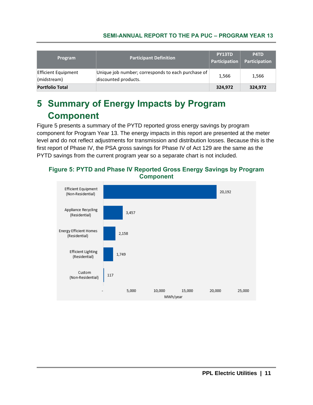| <b>Program</b>                     | <b>Participant Definition</b>                                              | PY13TD<br>Participation | P4TD<br>Participation |
|------------------------------------|----------------------------------------------------------------------------|-------------------------|-----------------------|
| Efficient Equipment<br>(midstream) | Unique job number; corresponds to each purchase of<br>discounted products. | 1,566                   | 1,566                 |
| <b>Portfolio Total</b>             |                                                                            | 324,972                 | 324,972               |

# <span id="page-17-0"></span>**5 Summary of Energy Impacts by Program Component**

[Figure 5](#page-17-1) presents a summary of the PYTD reported gross energy savings by program component for Program Year 13. The energy impacts in this report are presented at the meter level and do not reflect adjustments for transmission and distribution losses. Because this is the first report of Phase IV, the PSA gross savings for Phase IV of Act 129 are the same as the PYTD savings from the current program year so a separate chart is not included.

<span id="page-17-1"></span>

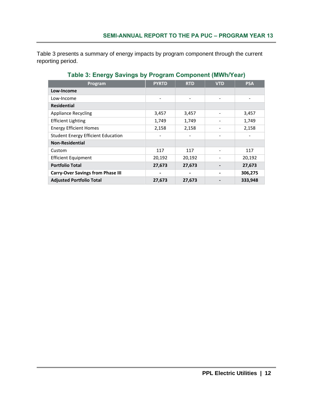[Table](#page-18-0) 3 presents a summary of energy impacts by program component through the current reporting period.

<span id="page-18-0"></span>

| Program                                   | <b>PYRTD</b>             | <b>RTD</b>               | <b>VTD</b> | <b>PSA</b> |
|-------------------------------------------|--------------------------|--------------------------|------------|------------|
| Low-Income                                |                          |                          |            |            |
| Low-Income                                | $\overline{\phantom{a}}$ | $\overline{\phantom{0}}$ | -          |            |
| <b>Residential</b>                        |                          |                          |            |            |
| <b>Appliance Recycling</b>                | 3,457                    | 3,457                    |            | 3,457      |
| <b>Efficient Lighting</b>                 | 1,749                    | 1,749                    |            | 1,749      |
| <b>Energy Efficient Homes</b>             | 2,158                    | 2,158                    |            | 2,158      |
| <b>Student Energy Efficient Education</b> |                          |                          |            |            |
| <b>Non-Residential</b>                    |                          |                          |            |            |
| Custom                                    | 117                      | 117                      |            | 117        |
| <b>Efficient Equipment</b>                | 20,192                   | 20,192                   |            | 20,192     |
| <b>Portfolio Total</b>                    | 27,673                   | 27,673                   |            | 27,673     |
| <b>Carry-Over Savings from Phase III</b>  |                          |                          |            | 306,275    |
| <b>Adjusted Portfolio Total</b>           | 27,673                   | 27,673                   |            | 333,948    |

#### **Table 3: Energy Savings by Program Component (MWh/Year)**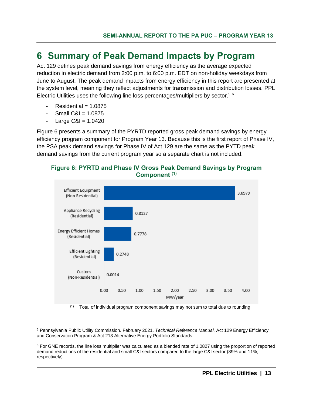### <span id="page-19-0"></span>**6 Summary of Peak Demand Impacts by Program**

Act 129 defines peak demand savings from energy efficiency as the average expected reduction in electric demand from 2:00 p.m. to 6:00 p.m. EDT on non-holiday weekdays from June to August. The peak demand impacts from energy efficiency in this report are presented at the system level, meaning they reflect adjustments for transmission and distribution losses. PPL Electric Utilities uses the following line loss percentages/multipliers by sector.<sup>56</sup>

- $Residential = 1.0875$
- Small  $C&I = 1.0875$
- Large  $C&1 = 1.0420$

[Figure 6](#page-19-1) presents a summary of the PYRTD reported gross peak demand savings by energy efficiency program component for Program Year 13. Because this is the first report of Phase IV, the PSA peak demand savings for Phase IV of Act 129 are the same as the PYTD peak demand savings from the current program year so a separate chart is not included.

<span id="page-19-1"></span>



 $(1)$  Total of individual program component savings may not sum to total due to rounding.

<sup>5</sup> Pennsylvania Public Utility Commission. February 2021. *Technical Reference Manual.* Act 129 Energy Efficiency and Conservation Program & Act 213 Alternative Energy Portfolio Standards.

 $6$  For GNE records, the line loss multiplier was calculated as a blended rate of 1.0827 using the proportion of reported demand reductions of the residential and small C&I sectors compared to the large C&I sector (89% and 11%, respectively).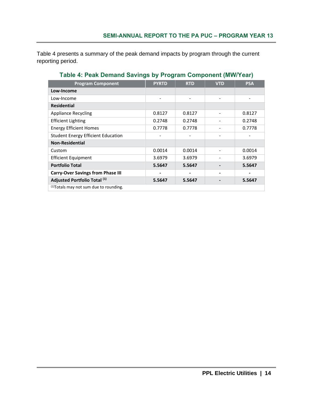[Table 4](#page-20-0) presents a summary of the peak demand impacts by program through the current reporting period.

<span id="page-20-0"></span>

| <b>Program Component</b>                           | <b>PYRTD</b> | <b>RTD</b> | <b>VTD</b>               | <b>PSA</b> |
|----------------------------------------------------|--------------|------------|--------------------------|------------|
| Low-Income                                         |              |            |                          |            |
| Low-Income                                         |              |            |                          |            |
| <b>Residential</b>                                 |              |            |                          |            |
| <b>Appliance Recycling</b>                         | 0.8127       | 0.8127     |                          | 0.8127     |
| <b>Efficient Lighting</b>                          | 0.2748       | 0.2748     | $\overline{\phantom{0}}$ | 0.2748     |
| <b>Energy Efficient Homes</b>                      | 0.7778       | 0.7778     |                          | 0.7778     |
| <b>Student Energy Efficient Education</b>          |              |            | -                        |            |
| <b>Non-Residential</b>                             |              |            |                          |            |
| Custom                                             | 0.0014       | 0.0014     |                          | 0.0014     |
| <b>Efficient Equipment</b>                         | 3.6979       | 3.6979     |                          | 3.6979     |
| <b>Portfolio Total</b>                             | 5.5647       | 5.5647     |                          | 5.5647     |
| <b>Carry-Over Savings from Phase III</b>           |              |            |                          |            |
| Adjusted Portfolio Total (1)                       | 5.5647       | 5.5647     |                          | 5.5647     |
| <sup>(1)</sup> Totals may not sum due to rounding. |              |            |                          |            |

#### **Table 4: Peak Demand Savings by Program Component (MW/Year)**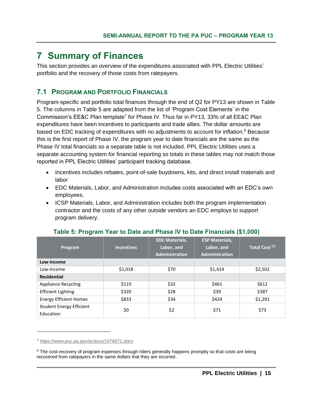### <span id="page-21-0"></span>**7 Summary of Finances**

This section provides an overview of the expenditures associated with PPL Electric Utilities' portfolio and the recovery of those costs from ratepayers.

#### <span id="page-21-1"></span>**7.1 PROGRAM AND PORTFOLIO FINANCIALS**

Program-specific and portfolio total finances through the end of Q2 for PY13 are shown in [Table](#page-21-2)  [5.](#page-21-2) The columns in [Table 5](#page-21-2) are adapted from the list of 'Program Cost Elements' in the Commission's  $E$ E&C Plan template<sup>7</sup> for Phase IV. Thus far in PY13, 33% of all EE&C Plan expenditures have been incentives to participants and trade allies. The dollar amounts are based on EDC tracking of expenditures with no adjustments to account for inflation.<sup>8</sup> Because this is the first report of Phase IV, the program year to date financials are the same as the Phase IV total financials so a separate table is not included. PPL Electric Utilities uses a separate accounting system for financial reporting so totals in these tables may not match those reported in PPL Electric Utilities' participant tracking database.

- Incentives includes rebates, point-of-sale buydowns, kits, and direct install materials and labor
- EDC Materials, Labor, and Administration includes costs associated with an EDC's own employees.
- ICSP Materials, Labor, and Administration includes both the program implementation contractor and the costs of any other outside vendors an EDC employs to support program delivery.

<span id="page-21-2"></span>

| Program                                      | <b>Incentives</b> | <b>EDC Materials,</b><br>Labor, and<br><b>Administration</b> | <b>CSP Materials,</b><br>Labor, and<br><b>Administration</b> | Total Cost <sup>(1)</sup> |
|----------------------------------------------|-------------------|--------------------------------------------------------------|--------------------------------------------------------------|---------------------------|
| Low-Income                                   |                   |                                                              |                                                              |                           |
| Low-Income                                   | \$1,018           | \$70                                                         | \$1,414                                                      | \$2,502                   |
| <b>Residential</b>                           |                   |                                                              |                                                              |                           |
| <b>Appliance Recycling</b>                   | \$119             | \$32                                                         | \$461                                                        | \$612                     |
| <b>Efficient Lighting</b>                    | \$320             | \$28                                                         | \$39                                                         | \$387                     |
| <b>Energy Efficient Homes</b>                | \$833             | \$34                                                         | \$424                                                        | \$1,291                   |
| <b>Student Energy Efficient</b><br>Education | \$0               | \$2                                                          | \$71                                                         | \$73                      |

#### **Table 5: Program Year to Date and Phase IV to Date Financials (\$1,000)**

<sup>7</sup> <https://www.puc.pa.gov/pcdocs/1676672.docx>

<sup>&</sup>lt;sup>8</sup> The cost-recovery of program expenses through riders generally happens promptly so that costs are being recovered from ratepayers in the same dollars that they are incurred.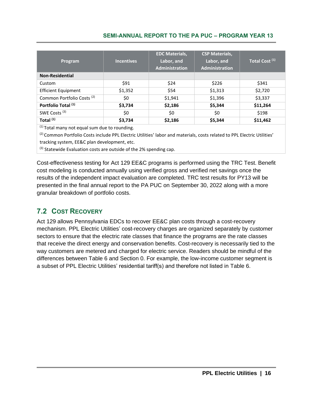| Program                               | <b>Incentives</b> | <b>EDC Materials,</b><br>Labor, and<br><b>Administration</b> | <b>CSP Materials,</b><br>Labor, and<br>Administration | Total Cost <sup>(1)</sup> |
|---------------------------------------|-------------------|--------------------------------------------------------------|-------------------------------------------------------|---------------------------|
| <b>Non-Residential</b>                |                   |                                                              |                                                       |                           |
| Custom                                | \$91              | \$24                                                         | \$226                                                 | \$341                     |
| <b>Efficient Equipment</b>            | \$1,352           | \$54                                                         | \$1,313                                               | \$2,720                   |
| Common Portfolio Costs <sup>(2)</sup> | \$0               | \$1,941                                                      | \$1,396                                               | \$3,337                   |
| Portfolio Total (1)                   | \$3,734           | \$2,186                                                      | \$5,344                                               | \$11,264                  |
| SWE Costs <sup>(3)</sup>              | \$0               | \$0                                                          | \$0                                                   | \$198                     |
| Total <sup>(1)</sup>                  | \$3,734           | \$2,186                                                      | \$5,344                                               | \$11,462                  |

 $(1)$  Total many not equal sum due to rounding.

(2) Common Portfolio Costs include PPL Electric Utilities' labor and materials, costs related to PPL Electric Utilities' tracking system, EE&C plan development, etc.

(3) Statewide Evaluation costs are outside of the 2% spending cap.

Cost-effectiveness testing for Act 129 EE&C programs is performed using the TRC Test. Benefit cost modeling is conducted annually using verified gross and verified net savings once the results of the independent impact evaluation are completed. TRC test results for PY13 will be presented in the final annual report to the PA PUC on September 30, 2022 along with a more granular breakdown of portfolio costs.

#### <span id="page-22-0"></span>**7.2 COST RECOVERY**

Act 129 allows Pennsylvania EDCs to recover EE&C plan costs through a cost-recovery mechanism. PPL Electric Utilities' cost-recovery charges are organized separately by customer sectors to ensure that the electric rate classes that finance the programs are the rate classes that receive the direct energy and conservation benefits. Cost-recovery is necessarily tied to the way customers are metered and charged for electric service. Readers should be mindful of the differences between [Table 6](#page-23-0) and Section [0.](#page-11-1) For example, the low-income customer segment is a subset of PPL Electric Utilities' residential tariff(s) and therefore not listed in [Table 6.](#page-23-0)